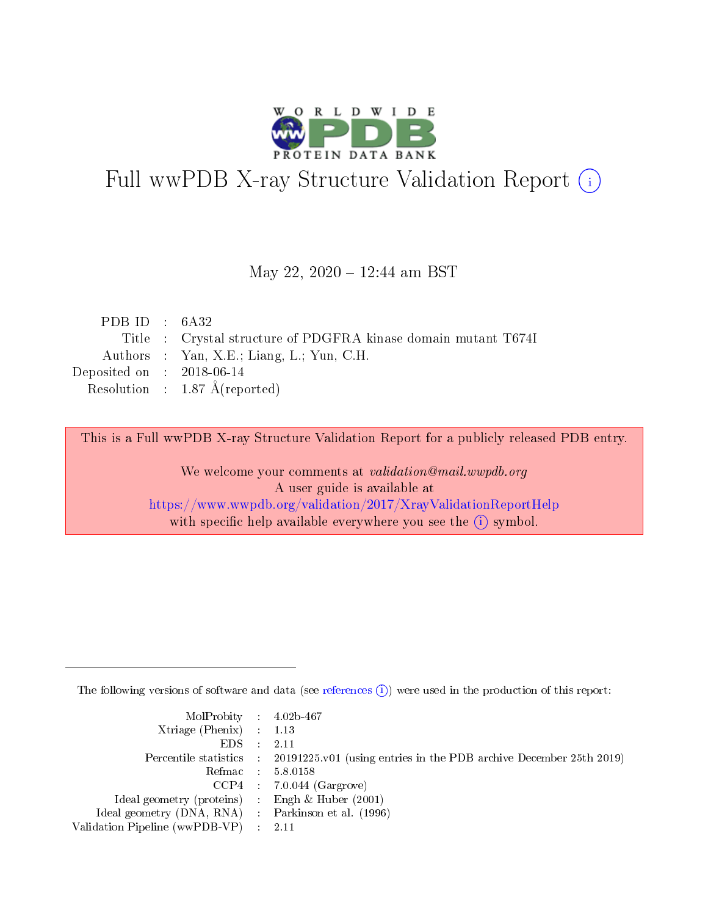

# Full wwPDB X-ray Structure Validation Report (i)

#### May 22, 2020 - 12:44 am BST

| PDB ID : $6A32$                                                |
|----------------------------------------------------------------|
| Title : Crystal structure of PDGFRA kinase domain mutant T674I |
| Authors : Yan, X.E.; Liang, L.; Yun, C.H.                      |
| Deposited on : $2018-06-14$                                    |
| Resolution : $1.87 \text{ Å}$ (reported)                       |
|                                                                |

This is a Full wwPDB X-ray Structure Validation Report for a publicly released PDB entry.

We welcome your comments at validation@mail.wwpdb.org A user guide is available at <https://www.wwpdb.org/validation/2017/XrayValidationReportHelp> with specific help available everywhere you see the  $(i)$  symbol.

The following versions of software and data (see [references](https://www.wwpdb.org/validation/2017/XrayValidationReportHelp#references)  $(i)$ ) were used in the production of this report:

| MolProbity : 4.02b-467                              |                                                                                            |
|-----------------------------------------------------|--------------------------------------------------------------------------------------------|
| Xtriage (Phenix) $: 1.13$                           |                                                                                            |
| $EDS = 2.11$                                        |                                                                                            |
|                                                     | Percentile statistics : 20191225.v01 (using entries in the PDB archive December 25th 2019) |
|                                                     | Refmac : 5.8.0158                                                                          |
|                                                     | $CCP4$ : 7.0.044 (Gargrove)                                                                |
| Ideal geometry (proteins) : Engh $\&$ Huber (2001)  |                                                                                            |
| Ideal geometry (DNA, RNA) : Parkinson et al. (1996) |                                                                                            |
| Validation Pipeline (wwPDB-VP) : 2.11               |                                                                                            |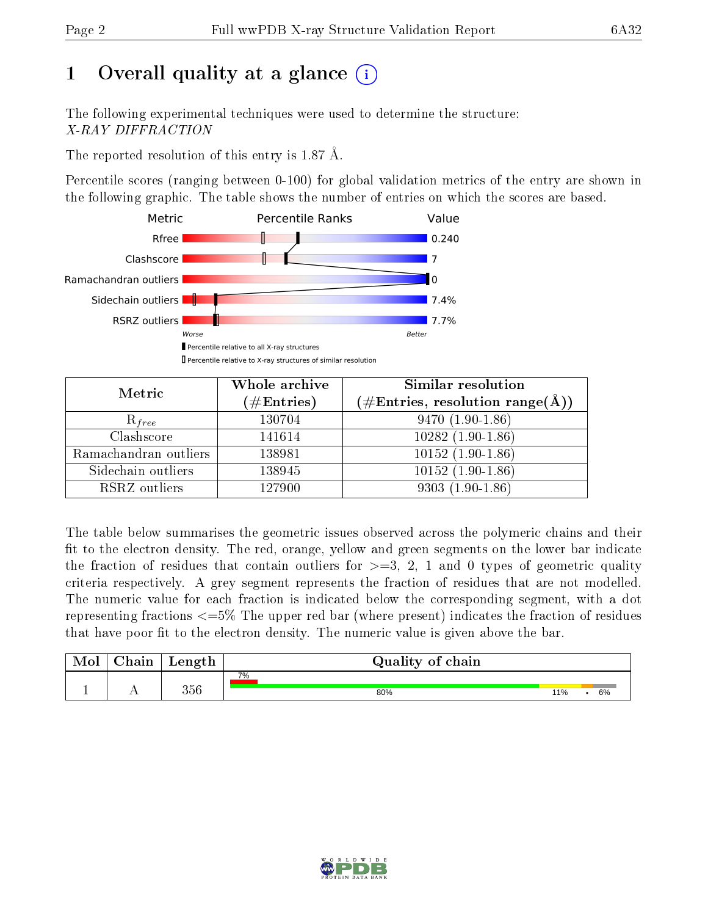## 1 [O](https://www.wwpdb.org/validation/2017/XrayValidationReportHelp#overall_quality)verall quality at a glance  $(i)$

The following experimental techniques were used to determine the structure: X-RAY DIFFRACTION

The reported resolution of this entry is 1.87 Å.

Percentile scores (ranging between 0-100) for global validation metrics of the entry are shown in the following graphic. The table shows the number of entries on which the scores are based.



| Metric                | Whole archive<br>$(\#\text{Entries})$ | Similar resolution<br>$(\#\text{Entries},\,\text{resolution}\,\,\text{range}(\textup{\AA}))$ |
|-----------------------|---------------------------------------|----------------------------------------------------------------------------------------------|
| $R_{free}$            | 130704                                | $9470(1.90-1.86)$                                                                            |
| Clashscore            | 141614                                | $10282(1.90-1.86)$                                                                           |
| Ramachandran outliers | 138981                                | $10152(1.90-1.86)$                                                                           |
| Sidechain outliers    | 138945                                | $10152(1.90-1.86)$                                                                           |
| RSRZ outliers         | 127900                                | $9303(1.90-1.86)$                                                                            |

The table below summarises the geometric issues observed across the polymeric chains and their fit to the electron density. The red, orange, yellow and green segments on the lower bar indicate the fraction of residues that contain outliers for  $>=3, 2, 1$  and 0 types of geometric quality criteria respectively. A grey segment represents the fraction of residues that are not modelled. The numeric value for each fraction is indicated below the corresponding segment, with a dot representing fractions  $\epsilon=5\%$  The upper red bar (where present) indicates the fraction of residues that have poor fit to the electron density. The numeric value is given above the bar.

| Mol           | $\boldsymbol{\mathsf{main}}$ | Length | Quality of chain |     |    |
|---------------|------------------------------|--------|------------------|-----|----|
|               |                              |        | 7%               |     |    |
| <u>. на п</u> | . .                          | 356    | 80%              | 11% | 6% |

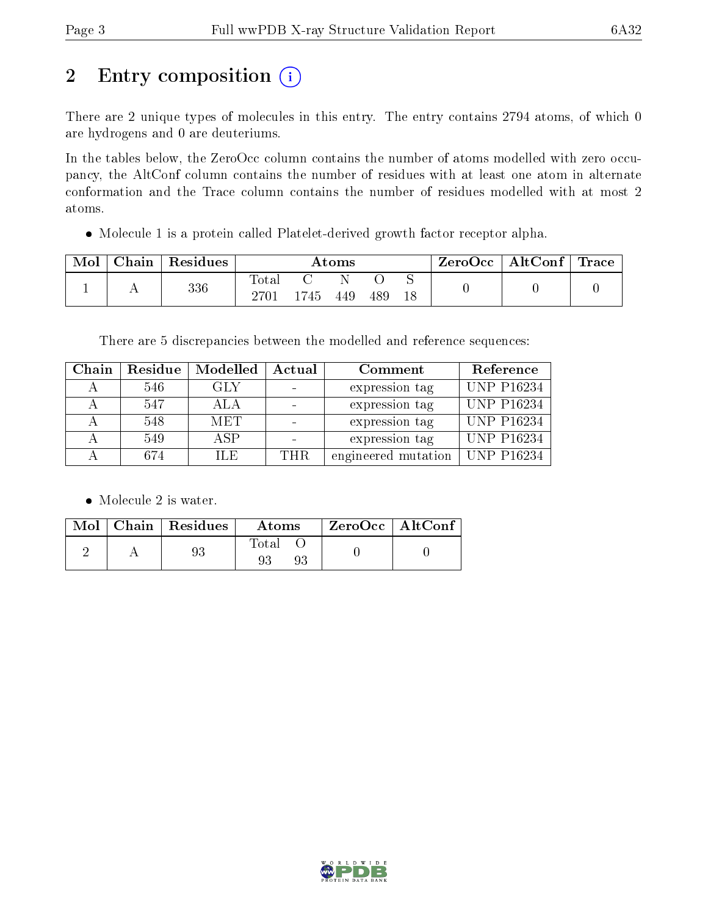## 2 Entry composition (i)

There are 2 unique types of molecules in this entry. The entry contains 2794 atoms, of which 0 are hydrogens and 0 are deuteriums.

In the tables below, the ZeroOcc column contains the number of atoms modelled with zero occupancy, the AltConf column contains the number of residues with at least one atom in alternate conformation and the Trace column contains the number of residues modelled with at most 2 atoms.

Molecule 1 is a protein called Platelet-derived growth factor receptor alpha.

| Mol | $\pm$ Chain $^+$ | Residues | Atoms         |    |     |     | $\text{ZeroOcc} \mid \text{AltConf} \mid \text{Trace} \mid$ |  |  |
|-----|------------------|----------|---------------|----|-----|-----|-------------------------------------------------------------|--|--|
|     |                  | 336      | Total<br>2701 | Ά5 | 449 | 489 | 18                                                          |  |  |

There are 5 discrepancies between the modelled and reference sequences:

| Chain | Residue | Modelled   | Actual | Comment             | Reference         |
|-------|---------|------------|--------|---------------------|-------------------|
|       | 546     | GLY        |        | expression tag      | <b>UNP P16234</b> |
|       | 547     | ALA        |        | expression tag      | UNP P16234        |
|       | 548     | <b>MET</b> |        | expression tag      | <b>UNP P16234</b> |
|       | 549     | A SP       |        | expression tag      | <b>UNP P16234</b> |
|       | 674     | H.E.       | THR.   | engineered mutation | UNP P16234        |

• Molecule 2 is water.

|  | Mol   Chain   Residues | Atoms | ZeroOcc   AltConf |
|--|------------------------|-------|-------------------|
|  | 93                     | Fotal |                   |

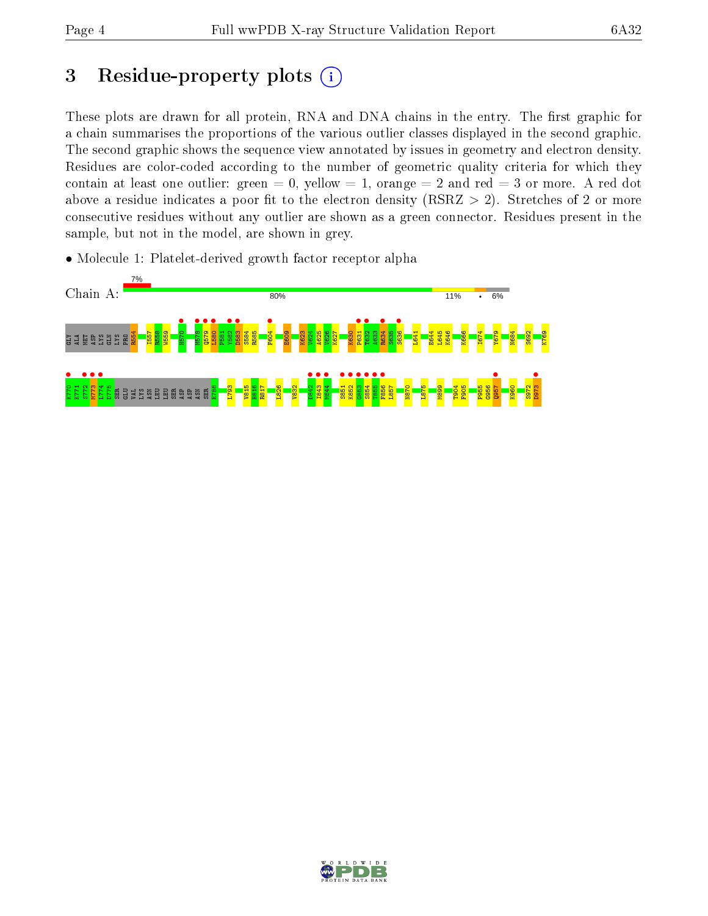## 3 Residue-property plots  $(i)$

These plots are drawn for all protein, RNA and DNA chains in the entry. The first graphic for a chain summarises the proportions of the various outlier classes displayed in the second graphic. The second graphic shows the sequence view annotated by issues in geometry and electron density. Residues are color-coded according to the number of geometric quality criteria for which they contain at least one outlier: green  $= 0$ , yellow  $= 1$ , orange  $= 2$  and red  $= 3$  or more. A red dot above a residue indicates a poor fit to the electron density (RSRZ  $> 2$ ). Stretches of 2 or more consecutive residues without any outlier are shown as a green connector. Residues present in the sample, but not in the model, are shown in grey.

• Molecule 1: Platelet-derived growth factor receptor alpha



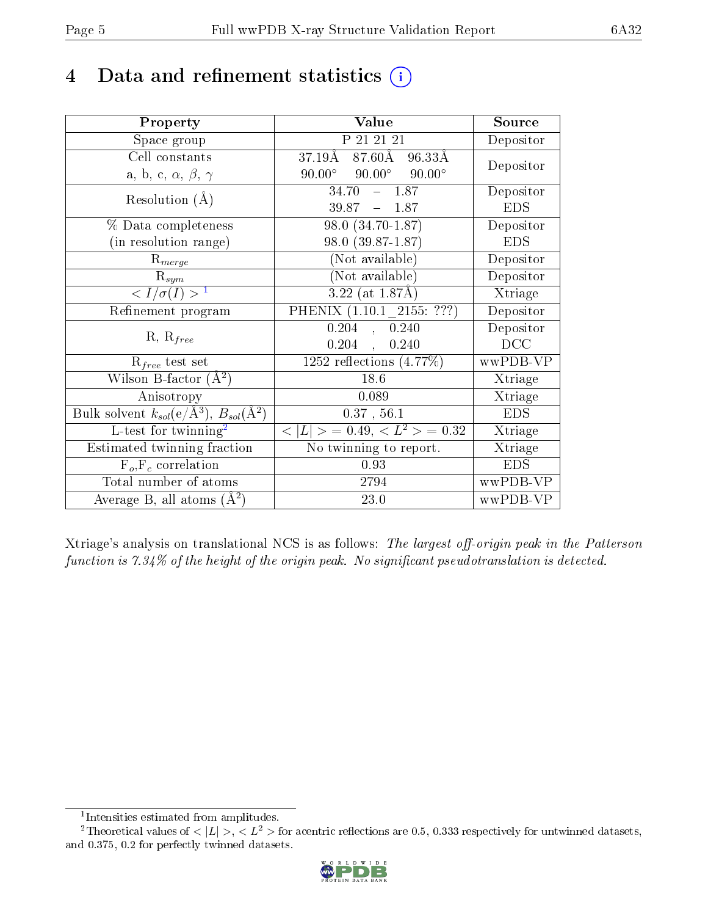## 4 Data and refinement statistics  $(i)$

| Property                                                             | Value                                            | Source     |
|----------------------------------------------------------------------|--------------------------------------------------|------------|
| Space group                                                          | P 21 21 21                                       | Depositor  |
| Cell constants                                                       | $87.60\text{\AA}$<br>$37.19\text{\AA}$<br>96.33Å | Depositor  |
| a, b, c, $\alpha$ , $\beta$ , $\gamma$                               | $90.00^{\circ}$ $90.00^{\circ}$<br>$90.00^\circ$ |            |
| Resolution $(A)$                                                     | $34.70 - 1.87$                                   | Depositor  |
|                                                                      | $39.87 - 1.87$                                   | <b>EDS</b> |
| % Data completeness                                                  | 98.0 (34.70-1.87)                                | Depositor  |
| (in resolution range)                                                | 98.0 (39.87-1.87)                                | <b>EDS</b> |
| $R_{merge}$                                                          | (Not available)                                  | Depositor  |
| $\mathbf{R}_{sym}$                                                   | (Not available)                                  | Depositor  |
| $\langle I/\sigma(I) \rangle$ <sup>1</sup>                           | $3.22$ (at 1.87Å)                                | Xtriage    |
| Refinement program                                                   | PHENIX (1.10.1 2155: ???)                        | Depositor  |
|                                                                      | 0.204<br>, 0.240                                 | Depositor  |
| $R, R_{free}$                                                        | 0.204,<br>0.240                                  | DCC        |
| $R_{free}$ test set                                                  | 1252 reflections $(4.77\%)$                      | wwPDB-VP   |
| Wilson B-factor $(A^2)$                                              | 18.6                                             | Xtriage    |
| Anisotropy                                                           | 0.089                                            | Xtriage    |
| Bulk solvent $k_{sol}(e/\mathring{A}^3)$ , $B_{sol}(\mathring{A}^2)$ | 0.37, 56.1                                       | <b>EDS</b> |
| L-test for twinning <sup>2</sup>                                     | $< L >$ = 0.49, $< L^2 >$ = 0.32                 | Xtriage    |
| Estimated twinning fraction                                          | No twinning to report.                           | Xtriage    |
| $F_o, F_c$ correlation                                               | 0.93                                             | <b>EDS</b> |
| Total number of atoms                                                | 2794                                             | wwPDB-VP   |
| Average B, all atoms $(A^2)$                                         | 23.0                                             | wwPDB-VP   |

Xtriage's analysis on translational NCS is as follows: The largest off-origin peak in the Patterson function is  $7.34\%$  of the height of the origin peak. No significant pseudotranslation is detected.

<sup>&</sup>lt;sup>2</sup>Theoretical values of  $\langle |L| \rangle$ ,  $\langle L^2 \rangle$  for acentric reflections are 0.5, 0.333 respectively for untwinned datasets, and 0.375, 0.2 for perfectly twinned datasets.



<span id="page-4-1"></span><span id="page-4-0"></span><sup>1</sup> Intensities estimated from amplitudes.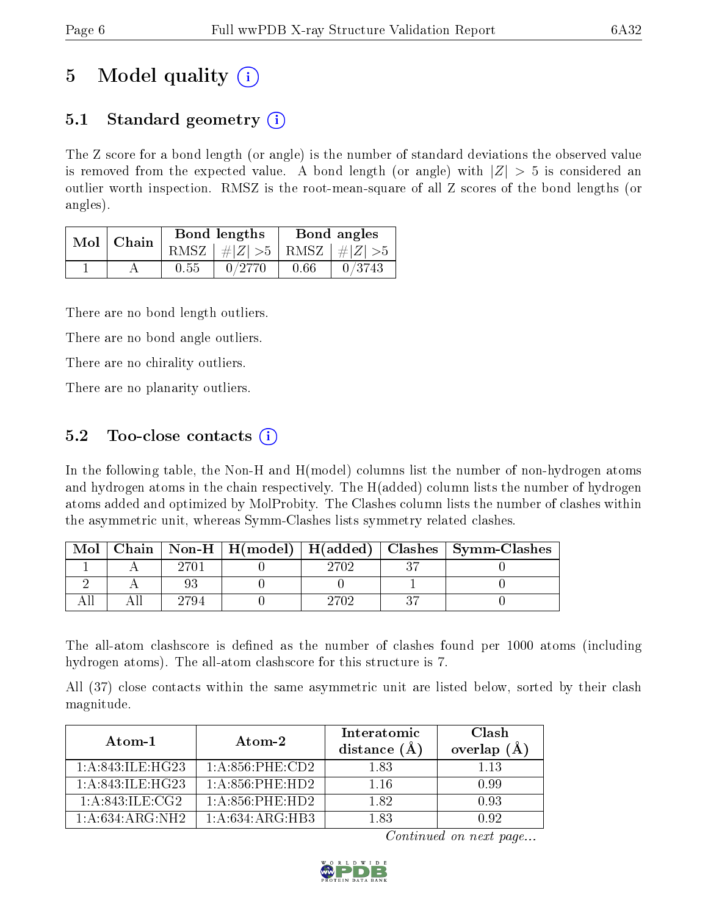## 5 Model quality  $(i)$

### 5.1 Standard geometry  $(i)$

The Z score for a bond length (or angle) is the number of standard deviations the observed value is removed from the expected value. A bond length (or angle) with  $|Z| > 5$  is considered an outlier worth inspection. RMSZ is the root-mean-square of all Z scores of the bond lengths (or angles).

| Mol | Chain |      | <b>Bond lengths</b>             | Bond angles |        |  |
|-----|-------|------|---------------------------------|-------------|--------|--|
|     |       |      | RMSZ $ #Z  > 5$ RMSZ $ #Z  > 5$ |             |        |  |
|     |       | 0.55 | 0/2770                          | 0.66        | 0/3743 |  |

There are no bond length outliers.

There are no bond angle outliers.

There are no chirality outliers.

There are no planarity outliers.

### 5.2 Too-close contacts  $\overline{()}$

In the following table, the Non-H and H(model) columns list the number of non-hydrogen atoms and hydrogen atoms in the chain respectively. The H(added) column lists the number of hydrogen atoms added and optimized by MolProbity. The Clashes column lists the number of clashes within the asymmetric unit, whereas Symm-Clashes lists symmetry related clashes.

| Mol |      |      | Chain   Non-H   H(model)   H(added)   Clashes   Symm-Clashes |
|-----|------|------|--------------------------------------------------------------|
|     | 2701 | 2702 |                                                              |
|     |      |      |                                                              |
|     | '794 | 270S |                                                              |

The all-atom clashscore is defined as the number of clashes found per 1000 atoms (including hydrogen atoms). The all-atom clashscore for this structure is 7.

All (37) close contacts within the same asymmetric unit are listed below, sorted by their clash magnitude.

| Atom-1              | Atom-2                 | Interatomic<br>distance $(A)$ | Clash<br>overlap $(A)$ |
|---------------------|------------------------|-------------------------------|------------------------|
| 1: A:843: ILE: HG23 | $1: A:856:$ PHE: $CD2$ | 1.83                          | 1 13                   |
| 1:A:843:ILE:HG23    | $1: A:856:$ PHE:HD2    | 1.16                          | 0.99                   |
| 1: A:843: ILE:CG2   | $1: A:856:$ PHE:HD2    | 1.82                          | 0.93                   |
| 1:A:634:ARG:NH2     | 1: A:634: ARG:HB3      | 1 83                          |                        |

Continued on next page...

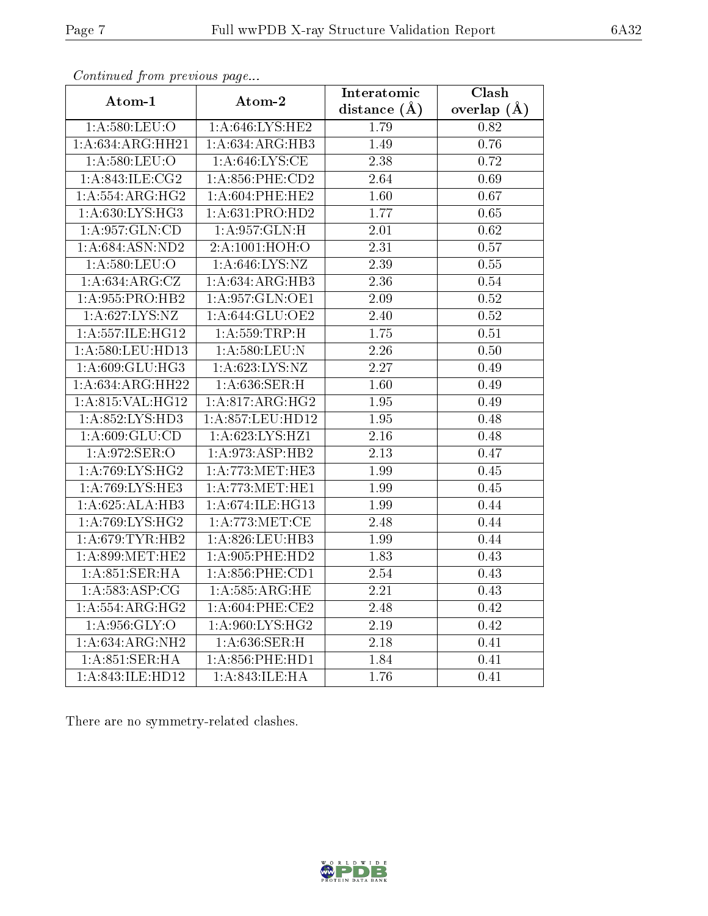| contentava promo proceso ao pago |                                     | Interatomic    | Clash         |
|----------------------------------|-------------------------------------|----------------|---------------|
| Atom-1                           | Atom-2                              | distance $(A)$ | overlap $(A)$ |
| $1: A:580:$ LEU:O                | 1:A:646:LYS:HE2                     | 1.79           | 0.82          |
| 1:A:634:ARG:HH21                 | 1: A:634: ARG:HB3                   | 1.49           | 0.76          |
| 1: A:580:LEU:O                   | 1: A:646: LYS:CE                    | 2.38           | 0.72          |
| 1: A:843: ILE: CG2               | $1: A:856:$ PHE: $CD2$              | 2.64           | 0.69          |
| 1: A: 554: ARG: HG2              | $1: A:604:$ PHE:HE2                 | 1.60           | 0.67          |
| 1: A:630: LYS: HG3               | 1: A:631: PRO:HD2                   | 1.77           | 0.65          |
| 1:A:957:GLN:CD                   | 1:A:957:GLN:H                       | 2.01           | 0.62          |
| 1: A:684: ASN:ND2                | 2:A:1001:HOH:O                      | 2.31           | 0.57          |
| 1:A:580:LEU:O                    | 1: A:646: LYS: NZ                   | 2.39           | 0.55          |
| 1: A:634: ARG: CZ                | 1: A:634: ARG:HB3                   | 2.36           | 0.54          |
| 1: A:955: PRO:HB2                | 1:A:957:GLN:OE1                     | 2.09           | 0.52          |
| 1:A:627:LYS:NZ                   | 1: A:644: GLU:OE2                   | 2.40           | 0.52          |
| 1:A:557:ILE:HG12                 | 1: A: 559: TRP:H                    | 1.75           | 0.51          |
| 1: A:580:LEU:HD13                | 1: A:580:LEU: N                     | 2.26           | 0.50          |
| 1: A:609: GLU:HG3                | 1: A:623: LYS: NZ                   | 2.27           | 0.49          |
| 1:A:634:ARG:HH22                 | 1: A:636: SER:H                     | 1.60           | 0.49          |
| 1: A:815: VAL:HGI2               | 1:A:817:ARG:HG2                     | 1.95           | 0.49          |
| 1:A:852:LYS:HD3                  | 1:A:857:LEU:HD12                    | 1.95           | 0.48          |
| 1: A:609: GLU:CD                 | $1:A:623:\overline{\text{LYS:HZ1}}$ | 2.16           | 0.48          |
| 1:A:972:SER:O                    | 1:A:973:ASP:HB2                     | 2.13           | 0.47          |
| 1: A:769: LYS: HG2               | 1: A:773:MET:HE3                    | 1.99           | 0.45          |
| 1: A:769: LYS: HE3               | 1: A:773:MET:HE1                    | 1.99           | 0.45          |
| 1:A:625:ALA:HB3                  | 1: A:674: ILE: HG13                 | 1.99           | 0.44          |
| 1:A:769:LYS:HG2                  | 1: A:773:MET:CE                     | 2.48           | 0.44          |
| 1: A:679: TYR: HB2               | 1: A:826: LEU:HB3                   | 1.99           | 0.44          |
| 1: A:899:MET:HE2                 | $1: A:905:$ PHE:HD2                 | 1.83           | 0.43          |
| 1: A:851: SER: HA                | $1: A:856:$ PHE: $CD1$              | 2.54           | 0.43          |
| 1: A: 583: ASP: CG               | 1: A:585:ARG:HE                     | 2.21           | 0.43          |
| 1: A: 554: ARG: HG2              | 1: A:604:PHE:CE2                    | 2.48           | 0.42          |
| 1:A:956:GLY:O                    | 1:A:960:LYS:HG2                     | 2.19           | 0.42          |
| 1:A:634:ARG:NH2                  | 1:A:636:SER:H                       | 2.18           | 0.41          |
| 1: A:851:SER:HA                  | $1: A:856:$ PHE:HD1                 | 1.84           | 0.41          |
| 1:A:843:ILE:HD12                 | 1:A:843:ILE:HA                      | 1.76           | 0.41          |

Continued from previous page...

There are no symmetry-related clashes.

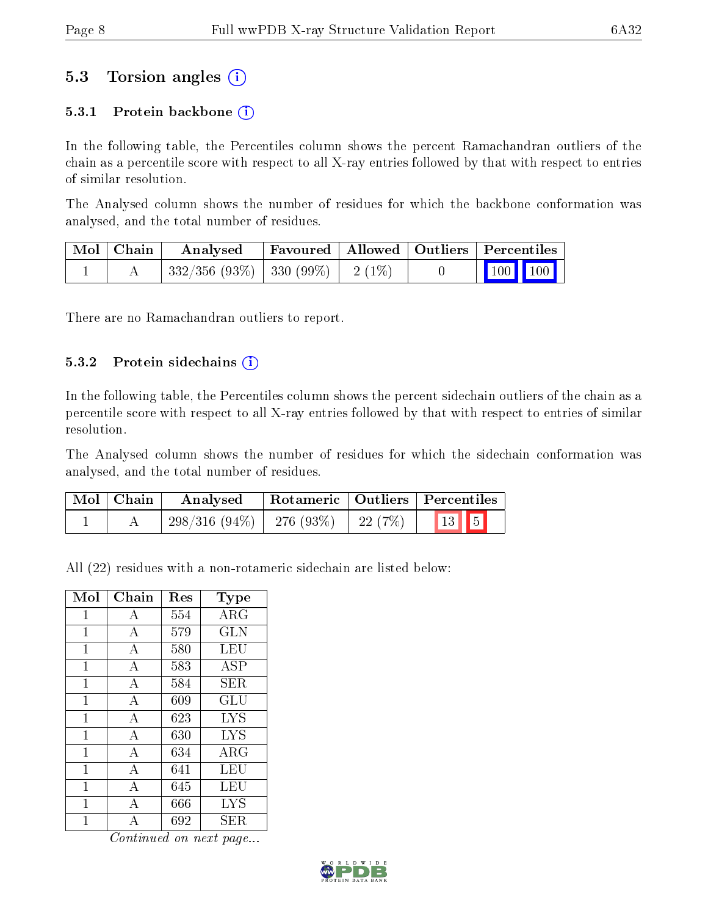### 5.3 Torsion angles (i)

#### 5.3.1 Protein backbone  $(i)$

In the following table, the Percentiles column shows the percent Ramachandran outliers of the chain as a percentile score with respect to all X-ray entries followed by that with respect to entries of similar resolution.

The Analysed column shows the number of residues for which the backbone conformation was analysed, and the total number of residues.

| Mol   Chain | Analysed                                | Favoured   Allowed   Outliers   Percentiles |  |                                 |  |
|-------------|-----------------------------------------|---------------------------------------------|--|---------------------------------|--|
|             | $332/356$ (93\%)   330 (99\%)   2 (1\%) |                                             |  | $\parallel$ 100 100 $\parallel$ |  |

There are no Ramachandran outliers to report.

#### 5.3.2 Protein sidechains (i)

In the following table, the Percentiles column shows the percent sidechain outliers of the chain as a percentile score with respect to all X-ray entries followed by that with respect to entries of similar resolution.

The Analysed column shows the number of residues for which the sidechain conformation was analysed, and the total number of residues.

| $\mid$ Mol $\mid$ Chain | Analysed                          |         | Rotameric   Outliers   Percentiles |
|-------------------------|-----------------------------------|---------|------------------------------------|
|                         | $298/316$ $(94\%)$   276 $(93\%)$ | 22 (7%) | 13 5                               |

All (22) residues with a non-rotameric sidechain are listed below:

| Mol | Chain          | Res | Type       |
|-----|----------------|-----|------------|
| 1   | А              | 554 | ARG        |
| 1   | $\bf{A}$       | 579 | <b>GLN</b> |
| 1   | A              | 580 | LEU        |
| 1   | А              | 583 | ASP        |
| 1   | $\overline{A}$ | 584 | SER.       |
| 1   | A              | 609 | GLU        |
| 1   | $\overline{A}$ | 623 | <b>LYS</b> |
| 1   | $\mathbf{A}$   | 630 | <b>LYS</b> |
| 1   | A              | 634 | $\rm{ARG}$ |
| 1   | $\overline{A}$ | 641 | LEU        |
| 1   | A              | 645 | LEU        |
| 1   | A              | 666 | <b>LYS</b> |
| 1   | А              | 692 | SER        |

Continued on next page...

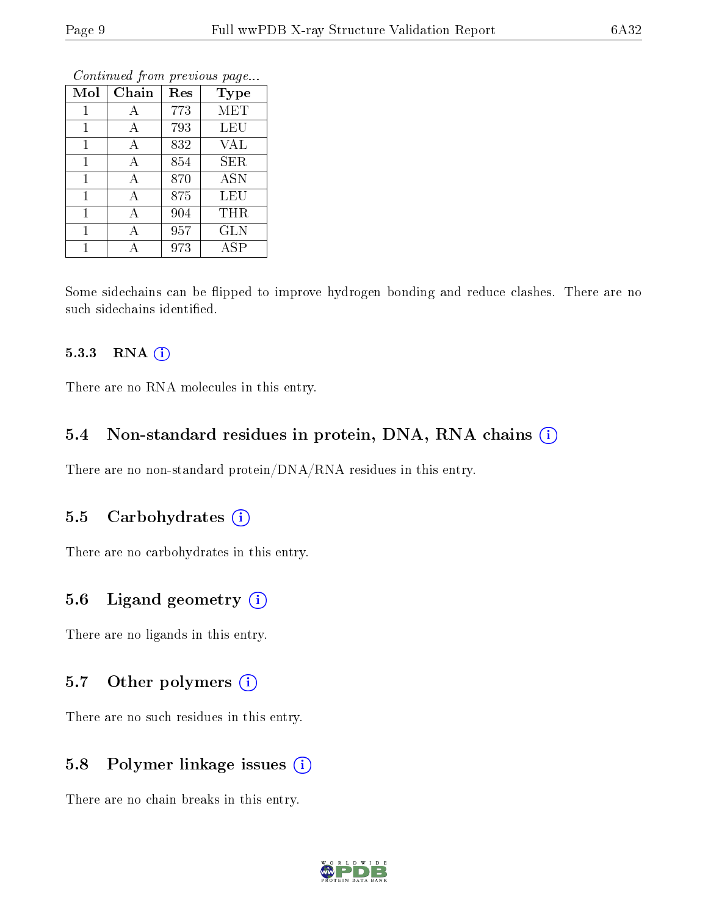| Mol | Chain | Res | <b>Type</b>      |
|-----|-------|-----|------------------|
| 1   | А     | 773 | <b>MET</b>       |
| 1   | А     | 793 | <b>LEU</b>       |
| 1   | А     | 832 | <b>VAL</b>       |
| 1   | А     | 854 | SER              |
| 1   | A     | 870 | $\overline{ASN}$ |
| 1   | А     | 875 | LEU              |
| 1   | А     | 904 | THR              |
| 1   | А     | 957 | <b>GLN</b>       |
|     |       | 973 | <b>ASP</b>       |

Continued from previous page...

Some sidechains can be flipped to improve hydrogen bonding and reduce clashes. There are no such sidechains identified.

#### 5.3.3 RNA (i)

There are no RNA molecules in this entry.

#### 5.4 Non-standard residues in protein, DNA, RNA chains (i)

There are no non-standard protein/DNA/RNA residues in this entry.

#### 5.5 Carbohydrates  $(i)$

There are no carbohydrates in this entry.

#### 5.6 Ligand geometry (i)

There are no ligands in this entry.

#### 5.7 [O](https://www.wwpdb.org/validation/2017/XrayValidationReportHelp#nonstandard_residues_and_ligands)ther polymers  $(i)$

There are no such residues in this entry.

#### 5.8 Polymer linkage issues  $(i)$

There are no chain breaks in this entry.

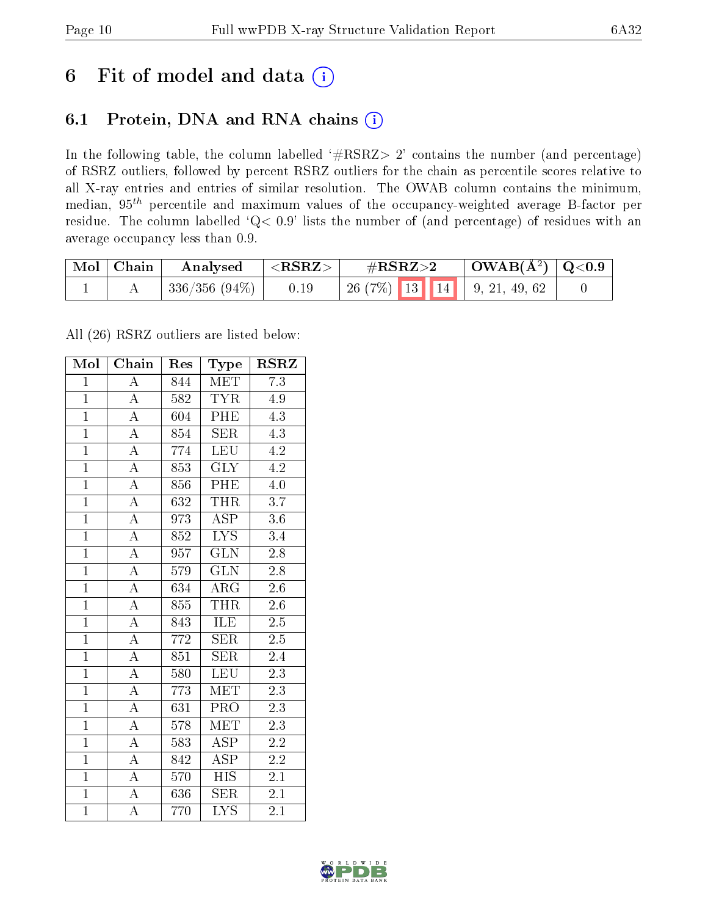### 6 Fit of model and data  $(i)$

### 6.1 Protein, DNA and RNA chains  $(i)$

In the following table, the column labelled  $#RSRZ> 2'$  contains the number (and percentage) of RSRZ outliers, followed by percent RSRZ outliers for the chain as percentile scores relative to all X-ray entries and entries of similar resolution. The OWAB column contains the minimum, median,  $95<sup>th</sup>$  percentile and maximum values of the occupancy-weighted average B-factor per residue. The column labelled ' $Q< 0.9$ ' lists the number of (and percentage) of residues with an average occupancy less than 0.9.

| $\mid$ Mol $\mid$ Chain | Analysed      | $<$ RSRZ $>$ | $\#\text{RSRZ}\text{>2}$       | $\mid$ OWAB(Å <sup>2</sup> ) $\mid$ Q<0.9 |  |
|-------------------------|---------------|--------------|--------------------------------|-------------------------------------------|--|
|                         | 336/356 (94%) | 0.19         | $+26(7\%)$ 13 14 9, 21, 49, 62 |                                           |  |

All (26) RSRZ outliers are listed below:

| Mol            | Chain              | Res              | Type                      | <b>RSRZ</b>      |
|----------------|--------------------|------------------|---------------------------|------------------|
| $\mathbf 1$    | $\overline{\rm A}$ | 844              | <b>MET</b>                | 7.3              |
| $\overline{1}$ | $\overline{A}$     | 582              | <b>TYR</b>                | 4.9              |
| $\overline{1}$ | $\overline{A}$     | 604              | <b>PHE</b>                | $\overline{4.3}$ |
| $\overline{1}$ | $\overline{\rm A}$ | 854              | <b>SER</b>                | 4.3              |
| $\overline{1}$ | $\overline{\rm A}$ | 774              | $\overline{\text{LEU}}$   | 4.2              |
| $\overline{1}$ | $\overline{\rm A}$ | 853              | <b>GLY</b>                | 4.2              |
| $\mathbf{1}$   | $\overline{\rm A}$ | 856              | PHE                       | $4.0\,$          |
| $\mathbf{1}$   | $\overline{\rm A}$ | 632              | <b>THR</b>                | 3.7              |
| $\overline{1}$ | $\overline{\rm A}$ | 973              | $\overline{\rm ASP}$      | 3.6              |
| $\overline{1}$ | $\overline{\rm A}$ | 852              | $\overline{\text{LYS}}$   | $\overline{3.4}$ |
| $\overline{1}$ | $\overline{\rm A}$ | 957              | $\overline{\text{GLN}}$   | $\overline{2.8}$ |
| $\overline{1}$ | $\overline{\rm A}$ | $\overline{579}$ | $\overline{\text{GLN}}$   | $\overline{2.8}$ |
| $\overline{1}$ | $\overline{\rm A}$ | 634              | $\rm{ARG}$                | $\overline{2.6}$ |
| $\overline{1}$ | $\overline{\rm A}$ | 855              | <b>THR</b>                | $2.6\,$          |
| $\overline{1}$ | $\overline{\rm A}$ | 843              | <b>ILE</b>                | $\overline{2.5}$ |
| $\overline{1}$ | $\overline{\rm A}$ | 772              | SER                       | $2.5\,$          |
| $\overline{1}$ | $\overline{A}$     | 851              | <b>SER</b>                | 2.4              |
| $\mathbf{1}$   | $\overline{\rm A}$ | 580              | <b>LEU</b>                | $2\overline{.3}$ |
| $\overline{1}$ | $\overline{\rm A}$ | 773              | MET                       | 2.3              |
| $\overline{1}$ | $\overline{\rm A}$ | 631              | $\overline{\text{PRO}}$   | 2.3              |
| $\overline{1}$ | $\overline{\rm A}$ | 578              | $\rm \overline{MET}$      | 2.3              |
| $\overline{1}$ | $\overline{\rm A}$ | 583              | $\overline{\text{ASP}}$   | $\overline{2.2}$ |
| $\mathbf{1}$   | A                  | 842              | <b>ASP</b>                | 2.2              |
| $\overline{1}$ | $\overline{A}$     | 570              | $\overline{\mathrm{HIS}}$ | 2.1              |
| $\overline{1}$ | $\overline{\rm A}$ | 636              | $\overline{\text{SER}}$   | 2.1              |
| $\mathbf{1}$   | A                  | 770              | $\overline{\text{LYS}}$   | 2.1              |